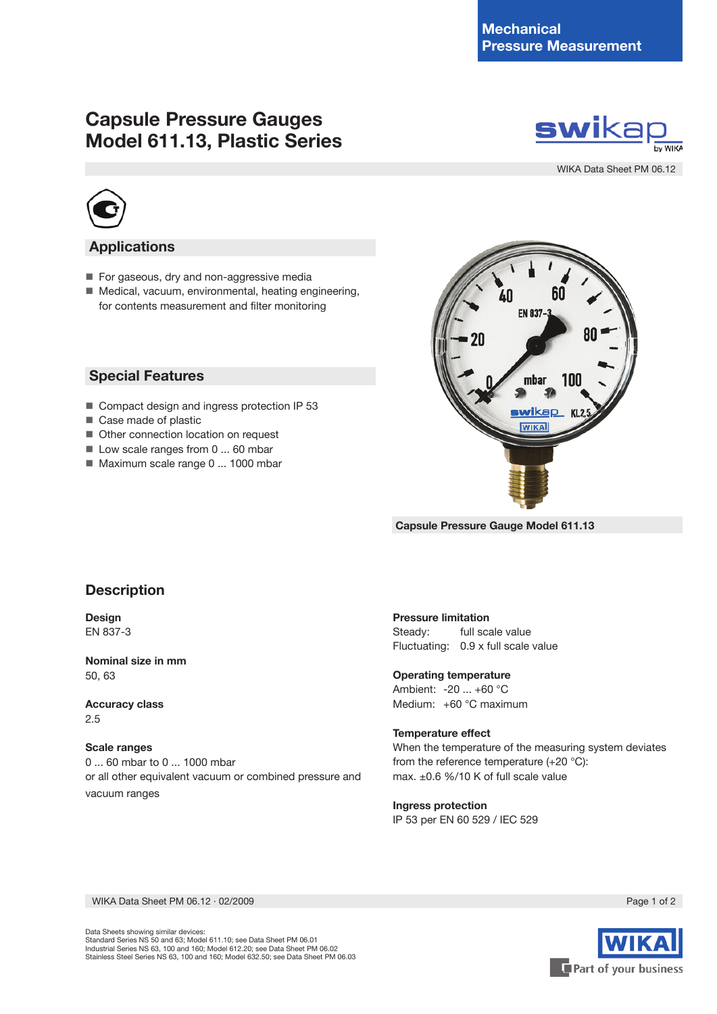# **Capsule Pressure Gauges Model 611.13, Plastic Series**



WIKA Data Sheet PM 06.12



### **Applications**

- For gaseous, dry and non-aggressive media
- Medical, vacuum, environmental, heating engineering, for contents measurement and filter monitoring

### **Special Features**

- Compact design and ingress protection IP 53
- Case made of plastic
- Other connection location on request
- Low scale ranges from 0 ... 60 mbar
- Maximum scale range 0 ... 1000 mbar



**Capsule Pressure Gauge Model 611.13**

# **Description**

**Design** EN 837-3

**Nominal size in mm** 50, 63

**Accuracy class** 2.5

#### **Scale ranges**

0 ... 60 mbar to 0 ... 1000 mbar or all other equivalent vacuum or combined pressure and vacuum ranges

#### **Pressure limitation**

Steady: full scale value Fluctuating: 0.9 x full scale value

#### **Operating temperature**

Ambient: -20 ... +60 °C Medium: +60 °C maximum

#### **Temperature effect**

When the temperature of the measuring system deviates from the reference temperature (+20 °C): max. ±0.6 %/10 K of full scale value

#### **Ingress protection**

IP 53 per EN 60 529 / IEC 529

WIKA Data Sheet PM 06.12 ∙ 02/2009 Page 1 of 2

Data Sheets showing similar devices: Standard Series NS 50 and 63; Model 611.10; see Data Sheet PM 06.01 Industrial Series NS 63, 100 and 160; Model 612.20; see Data Sheet PM 06.02 Stainless Steel Series NS 63, 100 and 160; Model 632.50; see Data Sheet PM 06.03